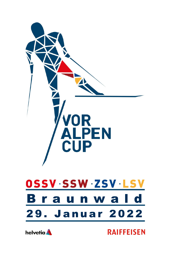



**RAIFFEISEN**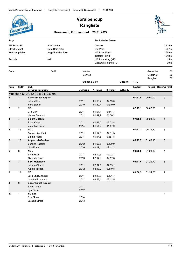

 $\overline{\mathbf{2}}$ 

 $\overline{3}$ 

 $\overline{\mathbf{A}}$ 

5

 $6\phantom{a}$ 

 $\overline{7}$ 

8

9

## Voralpencup **Rangliste**

Braunwald, Grotzenbüel 29.01.2022

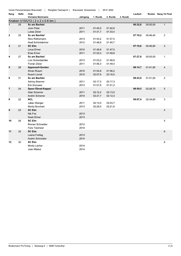|                |              | Verein Panoramaloipen Braunwald<br>  Rangliste Teamsprint | Braunwald, Grotzenbüel |          | 29.01.2022 |          |          |          |                        |
|----------------|--------------|-----------------------------------------------------------|------------------------|----------|------------|----------|----------|----------|------------------------|
| Rang           | <b>StrNr</b> | Club                                                      |                        |          |            |          | Laufzeit |          | Rückst. Rang 1/2 Final |
|                |              | <b>Vorname Nachname</b>                                   | Jahrgang               | 1. Runde | 2. Runde   | 3. Runde |          |          |                        |
|                |              | Knaben U10/U12 (2 x 2 x 0.6 km)                           |                        |          |            |          |          |          |                        |
| 1              | 29           | <b>Sc am Bachtel</b>                                      |                        |          |            |          | 06:32,8  | 00:00.00 | $\mathbf{1}$           |
|                |              | Jonn Peter                                                | 2011                   | 01:45,0  | 01:42,6    |          |          |          |                        |
|                |              | Lukas Zisler                                              | 2011                   | 01:31,7  | 01:33,4    |          |          |          |                        |
| $\mathbf{2}$   | 25           | <b>Sc am Bachtel</b>                                      |                        |          |            |          | 07:19,2  | 00:46,40 | $\overline{2}$         |
|                |              | Nino Rüthemann                                            | 2013                   | 01:54,2  | 01:57,5    |          |          |          |                        |
|                |              | Noel Schönbächler                                         | 2012                   | 01:46,6  | 01:40,7    |          |          |          |                        |
| 3              | 21           | <b>SC Elm</b>                                             |                        |          |            |          | 07:19,6  | 00:46,80 | 3                      |
|                |              | Linus Elmer                                               | 2010                   | 01:49,8  | 01.47,5    |          |          |          |                        |
|                |              | Elias Elmer                                               | 2011                   | 01:52,4  | 01:49,8    |          |          |          |                        |
| 4              | 27           | <b>Sc am Bachtel</b>                                      |                        |          |            |          | 07:27,8  | 00:55,00 | 1                      |
|                |              | Loïc Schönbächler                                         | 2013                   | 01:53,2  | 01:48,8    |          |          |          |                        |
|                |              | <b>Florian Zisler</b>                                     | 2011                   | 01:56.3  | 01:49,4    |          |          |          |                        |
| 5              | 28           | Appenzell-Gonten                                          |                        |          |            |          | 08:14,7  | 01:41,90 | 4                      |
|                |              | Silvan Rusch                                              | 2010                   | 01:54,8  | 01:56,2    |          |          |          |                        |
|                |              | <b>Rusch Lionel</b>                                       | 2010                   | 02:07.6  | 02:16,0    |          |          |          |                        |
| 6              | 31           | <b>Sc am Bachtel</b>                                      |                        |          |            |          | 08:23,8  | 01:51,00 | $\overline{c}$         |
|                |              | Ashley Boerner                                            | 2011                   | 02:17,3  | 02:17,3    |          |          |          |                        |
|                |              | Elin Durussel                                             | 2013                   | 01:57,8  | 01:51,2    |          |          |          |                        |
| $\overline{7}$ | 24           | <b>Speer Ebnat-Kappel</b>                                 |                        |          |            |          | 08:59,5  | 02:26,70 | 5                      |
|                |              | Gian Scherrer                                             | 2011                   | 02:12,4  | 02:13,0    |          |          |          |                        |
|                |              | Andrin Scherrer                                           | 2014                   | 02:21,7  | 02:12,3    |          |          |          |                        |
| 8              | 22           | <b>NCL</b>                                                |                        |          |            |          | 09:07,4  | 02:34,60 | 3                      |
|                |              | Julian Wanger                                             | 2011                   | 02:13,0  | 02:03,7    |          |          |          |                        |
|                |              | Moritz Brunhart                                           | 2013                   | 02:29,0  | 02:21,6    |          |          |          |                        |
| 9              | 23           | <b>SC Elm</b>                                             |                        |          |            |          |          |          | $\overline{4}$         |
|                |              | Nik Frei                                                  | 2013                   |          |            |          |          |          |                        |
|                |              | Noah Elmer                                                | 2013                   |          |            |          |          |          |                        |
| 10             | 26           | <b>SC Elm</b>                                             |                        |          |            |          |          |          | 5                      |
|                |              | Roman Schneider                                           | 2012                   |          |            |          |          |          |                        |
|                |              | Felix Trachsler                                           | 2014                   |          |            |          |          |          |                        |
| 11             | 32           | <b>SC Elm</b>                                             |                        |          |            |          |          |          | 6                      |
|                |              | Leana Freitag                                             | 2013                   |          |            |          |          |          |                        |
|                |              | Andrin Schneider                                          | 2014                   |          |            |          |          |          |                        |
| 12             | 30           | <b>SC Elm</b>                                             |                        |          |            |          |          |          | 6                      |
|                |              | Moritz Lacher                                             | 2014                   |          |            |          |          |          |                        |
|                |              |                                                           |                        |          |            |          |          |          |                        |

Joan Maduz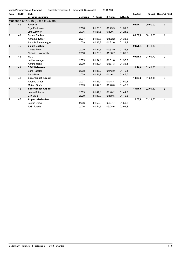| Verein Panoramaloipen Braunwald |  | Rangliste Teamsprint |  | Braunwald, Grotzenbüel |  | 29.01.2022 |
|---------------------------------|--|----------------------|--|------------------------|--|------------|
|---------------------------------|--|----------------------|--|------------------------|--|------------|

| <b>Vorname Nachname</b><br>1. Runde<br>2. Runde<br>3. Runde<br>Jahrgang<br>Mädchen U14/U16 (2 x 3 x 0.6 km)<br>41<br><b>Riedern</b><br>08:44,1<br>00:00.00<br>1<br>2006<br>01:31,0<br>Silja Feldmann<br>01:23,3<br>01:29,9<br>2006<br>01:21,8<br>01:29,7<br>01:28,2<br>Linn Zentner<br>$\mathbf{2}$<br>43<br>Sc am Bachtel<br>08:57,8<br>00:13,70<br>$\mathbf{1}$<br>2007<br>01:26.5<br>01:32.2<br>01:33,3<br>Anna Lia Keller<br>2009<br>Antonia Emmenegger<br>01:26,2<br>01:31,0<br>01:28,4<br>3<br>3<br>45<br><b>Sc am Bachtel</b><br>09:25,4<br>00:41,30<br>Carina Peter<br>2009<br>01:34,6<br>01:33,9<br>01.34,8<br>2010<br>Noémie Krayenbühl<br>01:28,9<br>01:36,7<br>01:36,2<br>$\overline{2}$<br>44<br><b>NCL</b><br>09:45.8<br>01:01,70<br>4<br>2009<br>01:51,6<br>Ladina Wanger<br>01:34,1<br>01:37,3<br>Annina Uehli<br>2009<br>01:30,1<br>01:37,3<br>01.35,1<br>5<br>49<br><b>SSC Walensee</b><br>10:26,6<br>01:42.50<br>4<br>2008<br>01:43,0<br>Sara Hassler<br>01:45,0<br>01:45,4<br>Anna Heeb<br>2009<br>01:45,0<br>01:41,9<br>01:46,1<br>$\overline{2}$<br>46<br>6<br>10:37,2<br>01:53,10<br><b>Speer Ebnat-Kappel</b><br>2007<br>01:47.1<br>01:48.4<br>01:50.5<br>Andrina Gmür<br>Miriam Gmür<br>2009<br>01:42.6<br>01:46.0<br>01:42,3<br>3<br>42<br><b>Speer Ebnat-Kappel</b><br>10:45.5<br>02:01.40<br>7<br>2009<br>01:48.2<br>Leana Scherrer<br>01:49.1<br>01:44,3<br>Elin Müller<br>2009<br>01:50.5<br>01:49.3<br>01:43.9<br>12:07.8<br>03:23.70<br>8<br>47<br><b>Appenzell-Gonten</b><br>4 | Rang | StrNr | Club         |      |         |         |         | Laufzeit | Rückst. Rang 1/2 Final |
|-----------------------------------------------------------------------------------------------------------------------------------------------------------------------------------------------------------------------------------------------------------------------------------------------------------------------------------------------------------------------------------------------------------------------------------------------------------------------------------------------------------------------------------------------------------------------------------------------------------------------------------------------------------------------------------------------------------------------------------------------------------------------------------------------------------------------------------------------------------------------------------------------------------------------------------------------------------------------------------------------------------------------------------------------------------------------------------------------------------------------------------------------------------------------------------------------------------------------------------------------------------------------------------------------------------------------------------------------------------------------------------------------------------------------------------------------------------------------------------------------------------------|------|-------|--------------|------|---------|---------|---------|----------|------------------------|
|                                                                                                                                                                                                                                                                                                                                                                                                                                                                                                                                                                                                                                                                                                                                                                                                                                                                                                                                                                                                                                                                                                                                                                                                                                                                                                                                                                                                                                                                                                                 |      |       |              |      |         |         |         |          |                        |
|                                                                                                                                                                                                                                                                                                                                                                                                                                                                                                                                                                                                                                                                                                                                                                                                                                                                                                                                                                                                                                                                                                                                                                                                                                                                                                                                                                                                                                                                                                                 |      |       |              |      |         |         |         |          |                        |
|                                                                                                                                                                                                                                                                                                                                                                                                                                                                                                                                                                                                                                                                                                                                                                                                                                                                                                                                                                                                                                                                                                                                                                                                                                                                                                                                                                                                                                                                                                                 |      |       |              |      |         |         |         |          |                        |
|                                                                                                                                                                                                                                                                                                                                                                                                                                                                                                                                                                                                                                                                                                                                                                                                                                                                                                                                                                                                                                                                                                                                                                                                                                                                                                                                                                                                                                                                                                                 |      |       |              |      |         |         |         |          |                        |
|                                                                                                                                                                                                                                                                                                                                                                                                                                                                                                                                                                                                                                                                                                                                                                                                                                                                                                                                                                                                                                                                                                                                                                                                                                                                                                                                                                                                                                                                                                                 |      |       |              |      |         |         |         |          |                        |
|                                                                                                                                                                                                                                                                                                                                                                                                                                                                                                                                                                                                                                                                                                                                                                                                                                                                                                                                                                                                                                                                                                                                                                                                                                                                                                                                                                                                                                                                                                                 |      |       |              |      |         |         |         |          |                        |
|                                                                                                                                                                                                                                                                                                                                                                                                                                                                                                                                                                                                                                                                                                                                                                                                                                                                                                                                                                                                                                                                                                                                                                                                                                                                                                                                                                                                                                                                                                                 |      |       |              |      |         |         |         |          |                        |
|                                                                                                                                                                                                                                                                                                                                                                                                                                                                                                                                                                                                                                                                                                                                                                                                                                                                                                                                                                                                                                                                                                                                                                                                                                                                                                                                                                                                                                                                                                                 |      |       |              |      |         |         |         |          |                        |
|                                                                                                                                                                                                                                                                                                                                                                                                                                                                                                                                                                                                                                                                                                                                                                                                                                                                                                                                                                                                                                                                                                                                                                                                                                                                                                                                                                                                                                                                                                                 |      |       |              |      |         |         |         |          |                        |
|                                                                                                                                                                                                                                                                                                                                                                                                                                                                                                                                                                                                                                                                                                                                                                                                                                                                                                                                                                                                                                                                                                                                                                                                                                                                                                                                                                                                                                                                                                                 |      |       |              |      |         |         |         |          |                        |
|                                                                                                                                                                                                                                                                                                                                                                                                                                                                                                                                                                                                                                                                                                                                                                                                                                                                                                                                                                                                                                                                                                                                                                                                                                                                                                                                                                                                                                                                                                                 |      |       |              |      |         |         |         |          |                        |
|                                                                                                                                                                                                                                                                                                                                                                                                                                                                                                                                                                                                                                                                                                                                                                                                                                                                                                                                                                                                                                                                                                                                                                                                                                                                                                                                                                                                                                                                                                                 |      |       |              |      |         |         |         |          |                        |
|                                                                                                                                                                                                                                                                                                                                                                                                                                                                                                                                                                                                                                                                                                                                                                                                                                                                                                                                                                                                                                                                                                                                                                                                                                                                                                                                                                                                                                                                                                                 |      |       |              |      |         |         |         |          |                        |
|                                                                                                                                                                                                                                                                                                                                                                                                                                                                                                                                                                                                                                                                                                                                                                                                                                                                                                                                                                                                                                                                                                                                                                                                                                                                                                                                                                                                                                                                                                                 |      |       |              |      |         |         |         |          |                        |
|                                                                                                                                                                                                                                                                                                                                                                                                                                                                                                                                                                                                                                                                                                                                                                                                                                                                                                                                                                                                                                                                                                                                                                                                                                                                                                                                                                                                                                                                                                                 |      |       |              |      |         |         |         |          |                        |
|                                                                                                                                                                                                                                                                                                                                                                                                                                                                                                                                                                                                                                                                                                                                                                                                                                                                                                                                                                                                                                                                                                                                                                                                                                                                                                                                                                                                                                                                                                                 |      |       |              |      |         |         |         |          |                        |
|                                                                                                                                                                                                                                                                                                                                                                                                                                                                                                                                                                                                                                                                                                                                                                                                                                                                                                                                                                                                                                                                                                                                                                                                                                                                                                                                                                                                                                                                                                                 |      |       |              |      |         |         |         |          |                        |
|                                                                                                                                                                                                                                                                                                                                                                                                                                                                                                                                                                                                                                                                                                                                                                                                                                                                                                                                                                                                                                                                                                                                                                                                                                                                                                                                                                                                                                                                                                                 |      |       |              |      |         |         |         |          |                        |
|                                                                                                                                                                                                                                                                                                                                                                                                                                                                                                                                                                                                                                                                                                                                                                                                                                                                                                                                                                                                                                                                                                                                                                                                                                                                                                                                                                                                                                                                                                                 |      |       |              |      |         |         |         |          |                        |
|                                                                                                                                                                                                                                                                                                                                                                                                                                                                                                                                                                                                                                                                                                                                                                                                                                                                                                                                                                                                                                                                                                                                                                                                                                                                                                                                                                                                                                                                                                                 |      |       |              |      |         |         |         |          |                        |
|                                                                                                                                                                                                                                                                                                                                                                                                                                                                                                                                                                                                                                                                                                                                                                                                                                                                                                                                                                                                                                                                                                                                                                                                                                                                                                                                                                                                                                                                                                                 |      |       |              |      |         |         |         |          |                        |
|                                                                                                                                                                                                                                                                                                                                                                                                                                                                                                                                                                                                                                                                                                                                                                                                                                                                                                                                                                                                                                                                                                                                                                                                                                                                                                                                                                                                                                                                                                                 |      |       |              |      |         |         |         |          |                        |
|                                                                                                                                                                                                                                                                                                                                                                                                                                                                                                                                                                                                                                                                                                                                                                                                                                                                                                                                                                                                                                                                                                                                                                                                                                                                                                                                                                                                                                                                                                                 |      |       |              |      |         |         |         |          |                        |
|                                                                                                                                                                                                                                                                                                                                                                                                                                                                                                                                                                                                                                                                                                                                                                                                                                                                                                                                                                                                                                                                                                                                                                                                                                                                                                                                                                                                                                                                                                                 |      |       |              |      |         |         |         |          |                        |
|                                                                                                                                                                                                                                                                                                                                                                                                                                                                                                                                                                                                                                                                                                                                                                                                                                                                                                                                                                                                                                                                                                                                                                                                                                                                                                                                                                                                                                                                                                                 |      |       | Leonie Dörig | 2006 | 01:50,9 | 02:07,7 | 01:59,2 |          |                        |
| 2006<br>02:06.1<br>Aylin Rusch<br>01:54,9<br>02:08.6                                                                                                                                                                                                                                                                                                                                                                                                                                                                                                                                                                                                                                                                                                                                                                                                                                                                                                                                                                                                                                                                                                                                                                                                                                                                                                                                                                                                                                                            |      |       |              |      |         |         |         |          |                        |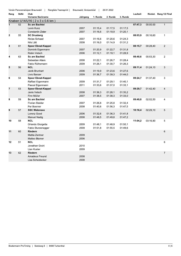| Verein Panoramaloipen Braunwald |  | Rangliste Teamsprint |  | Braunwald, Grotzenbüel |  | 29.01.2022 |
|---------------------------------|--|----------------------|--|------------------------|--|------------|
|---------------------------------|--|----------------------|--|------------------------|--|------------|

| ano | StrNr | Club |  |
|-----|-------|------|--|

| Rang           | <b>StrNr</b> | Club                            |          |          |          |          | Laufzeit |          | Rückst. Rang 1/2 Final |
|----------------|--------------|---------------------------------|----------|----------|----------|----------|----------|----------|------------------------|
|                |              | <b>Vorname Nachname</b>         | Jahrgang | 1. Runde | 2. Runde | 3. Runde |          |          |                        |
|                |              | Knaben U14/U16 (2 x 3 x 0.6 km) |          |          |          |          |          |          |                        |
| $\overline{1}$ | 52           | <b>Sc am Bachtel</b>            |          |          |          |          | 07:47,3  | 00:00.00 | $\mathbf{1}$           |
|                |              | Levin Kunz                      | 2007     | 01:15,4  | 01:17,5  | 01:17,5  |          |          |                        |
|                |              | Constantin Zisler               | 2007     | 01:16,6  | 01:19,9  | 01:20,1  |          |          |                        |
| $\mathbf 2$    | 55           | <b>SC Drusberg</b>              |          |          |          |          | 08:03,9  | 00:16,60 | $\mathbf{1}$           |
|                |              | Niclas Schaad                   | 2007     | 01:16,6  | 01:20,6  | 01:24,3  |          |          |                        |
|                |              | Nils Lätt                       | 2008     | 01:16,0  | 01:14,9  | 01:31,2  |          |          |                        |
| 3              | 61           | <b>Speer Ebnat-Kappel</b>       |          |          |          |          | 08:15,7  | 00:28,40 | $\overline{2}$         |
|                |              | Dominik Eigenmann               | 2007     | 01:20,9  | 01:22,7  | 01:31,8  |          |          |                        |
|                |              | Robin Vetsch                    | 2006     | 01:12,1  | 01:19,1  | 01:28,9  |          |          |                        |
| 4              | 63           | Sc am Bachtel                   |          |          |          |          | 08:40,6  | 00:53,30 | $\overline{2}$         |
|                |              | Sebastian Allars                | 2008     | 01:22,1  | 01:26,7  | 01:28,4  |          |          |                        |
|                |              | Fabio Rüthemann                 | 2009     | 01:26,1  | 01:30,7  | 01:26,3  |          |          |                        |
| 5              | 56           | <b>NCL</b>                      |          |          |          |          | 09:11,4  | 01:24,10 | 3                      |
|                |              | Janik Brunhart                  | 2006     | 01:19,9  | 01:23,6  | 01:27,6  |          |          |                        |
|                |              | Livio Banzer                    | 2009     | 01:36,7  | 01:39,3  | 01:44,0  |          |          |                        |
| 6              | 54           | <b>Speer Ebnat-Kappel</b>       |          |          |          |          | 09:24,7  | 01:37,40 | 3                      |
|                |              | Raffael Eigenmann               | 2009     | 01:31.7  | 01:29,1  | 01:40.1  |          |          |                        |
|                |              | Pascal Eigenmann                | 2011     | 01:33,6  | 01:37,0  | 01:33,1  |          |          |                        |
| 7              | 53           | <b>Speer Ebnat-Kappel</b>       |          |          |          |          | 09:29,7  | 01:42,40 | $\overline{4}$         |
|                |              | Janis Vetsch                    | 2008     | 01:36,3  | 01:28,1  | 01:35,2  |          |          |                        |
|                |              | Finn Müller                     | 2007     | 01:38,5  | 01:38,3  | 01:33,0  |          |          |                        |
| 8              | 59           | Sc am Bachtel                   |          |          |          |          | 09:49,8  | 02:02,50 | 4                      |
|                |              | <b>Florian Stalder</b>          | 2007     | 01:26,8  | 01:25,8  | 01:32,4  |          |          |                        |
|                |              | Per Boerner                     | 2008     | 01:40,6  | 01:56,3  | 01:47,5  |          |          |                        |
| 9              | 57           | <b>SSC Walensee</b>             |          |          |          |          | 10:16,4  | 02:29,10 | $\,$ 5 $\,$            |
|                |              | Lorenz Good                     | 2006     | 01:32,6  | 01:36,3  | 01:41,8  |          |          |                        |
|                |              | <b>Manuel Nadig</b>             | 2008     | 01:48,5  | 01:49,8  | 01:47,2  |          |          |                        |
| 10             | 58           | <b>NCL</b>                      |          |          |          |          | 11:04,2  | 03:16,90 | 5                      |
|                |              | Orlando Giorgetta               | 2009     | 01:48,1  | 01:48,9  | 01:50,1  |          |          |                        |
|                |              | Fabio Sturzenegger              | 2009     | 01:51,8  | 01:55,5  | 01:49,6  |          |          |                        |
| 11             | 60           | Riedern                         |          |          |          |          |          |          | 6                      |
|                |              | Mattia Zentner                  | 2009     |          |          |          |          |          |                        |
|                |              | Matteo Blumer                   | 2006     |          |          |          |          |          |                        |
| 12             | 51           | <b>NCL</b>                      |          |          |          |          |          |          | 6                      |
|                |              | Jonathan Gruhl                  | 2010     |          |          |          |          |          |                        |
|                |              | Lian Kuster                     | 2009     |          |          |          |          |          |                        |
| 13             | 62           | Riedern                         |          |          |          |          |          |          | $\overline{7}$         |
|                |              | Amadeus Freund                  | 2008     |          |          |          |          |          |                        |
|                |              | Lisa Scheidecker                | 2008     |          |          |          |          |          |                        |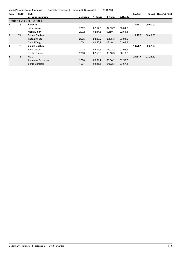Verein Panoramaloipen Braunwald | Rangliste Teamsprint | Braunwald, Grotzenbüel | 29.01.2022

| Rang           | <b>StrNr</b> | Club                                 |          |          |          |          | Laufzeit | Rückst.  | Rang 1/2 Final |
|----------------|--------------|--------------------------------------|----------|----------|----------|----------|----------|----------|----------------|
|                |              | <b>Vorname Nachname</b>              | Jahrgang | 1. Runde | 2. Runde | 3. Runde |          |          |                |
|                |              | Frauen ( $2 \times 3 \times 1.2$ km) |          |          |          |          |          |          |                |
|                | 74           | <b>Riedern</b>                       |          |          |          |          | 17:28.2  | 00:00.00 |                |
|                |              | Julia Hauser                         | 2002     | 02:57.6  | 02:55.7  | 03:04.7  |          |          |                |
|                |              | Malia Elmer                          | 2002     | 02:44.5  | 02:50.7  | 02:54,8  |          |          |                |
| $\overline{2}$ | 71           | <b>Sc am Bachtel</b>                 |          |          |          |          | 18:17,7  | 00:49.50 |                |
|                |              | Tabea Knobel                         | 2005     | 03:00.7  | 03:05.3  | 03:04.0  |          |          |                |
|                |              | Celia Rüegg                          | 2004     | 02:55.9  | 03:10.2  | 03:01.3  |          |          |                |
| 3              | 72           | <b>Sc am Bachtel</b>                 |          |          |          |          | 18:26.1  | 00:57.90 |                |
|                |              | Sara Gerber                          | 2002     | 03:01.6  | 03:02,2  | 03 02.9  |          |          |                |
|                |              | Evelyn Stalder                       | 2006     | 02:58.0  | 03:10.9  | 03:10.2  |          |          |                |
| 4              | 73           | <b>NCL</b>                           |          |          |          |          | 20:51,6  | 03:23.40 |                |
|                |              | Annalena Schocher                    | 2000     | 03:01.7  | 03:04.2  | 02:59,7  |          |          |                |
|                |              | Sonja Bargetze                       | 1971     | 03:45.6  | 04:02,3  | 03:57,8  |          |          |                |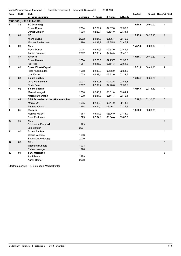| Verein Panoramaloipen Braunwald |  | Rangliste Teamsprint |  | Braunwald, Grotzenbüel |  | 29.01.2022 |
|---------------------------------|--|----------------------|--|------------------------|--|------------|
|---------------------------------|--|----------------------|--|------------------------|--|------------|

| Rang           | <b>StrNr</b> | Club                                    |          |          |          |          | Laufzeit |          | Rückst. Rang 1/2 Final |
|----------------|--------------|-----------------------------------------|----------|----------|----------|----------|----------|----------|------------------------|
|                |              | <b>Vorname Nachname</b>                 | Jahrgang | 1. Runde | 2. Runde | 3. Runde |          |          |                        |
|                |              | Männer (2 x 3 x 1.2 km)                 |          |          |          |          |          |          |                        |
| $\overline{1}$ | 82           | <b>SC Drusberg</b>                      |          |          |          |          | 15:18,5  | 00:00.00 | $\overline{1}$         |
|                |              | Silvan Durrer                           | 2004     | 02:29,2  | 02:37,6  | 02:38,0  |          |          |                        |
|                |              | Daniel Grätzer                          | 1998     | 02:29,1  | 02:31,0  | 02:33,4  |          |          |                        |
| $\overline{2}$ | 81           | <b>NCL</b>                              |          |          |          |          | 15:43,6  | 00:25,10 | $\mathbf{1}$           |
|                |              | Micha Büchel                            | 2002     | 02:31,6  | 02:36,4  | 02:40,0  |          |          |                        |
|                |              | Michael Biedermann                      | 1996     | 02:32,7  | 02:35,5  | 02:47,1  |          |          |                        |
| 3              | 93           | <b>NCL</b>                              |          |          |          |          | 15:51,8  | 00:33,30 | 3                      |
|                |              | <b>Flavio Durrer</b>                    | 2004     | 02:32.3  | 02:37,0  | 02 41,9  |          |          |                        |
|                |              | <b>Tobias Frommelt</b>                  | 2002     | 02:33,7  | 02:44,5  | 02:42,2  |          |          |                        |
| 4              | 87           | Riedern                                 |          |          |          |          | 15:58,7  | 00:40,20 | $\overline{2}$         |
|                |              | Silvan Hauser                           | 2004     | 02:28,8  | 02:25,7  | 02:30,5  |          |          |                        |
|                |              | Rolf Figi                               | 1987     | 02:48,0  | 02:54,3  | 02:51,2  |          |          |                        |
| 5              | 88           | <b>Speer Ebnat-Kappel</b>               |          |          |          |          | 16:01,8  | 00:43,30 | $\overline{2}$         |
|                |              | Reto Abderhalden                        | 1988     | 02:39,8  | 02:56,9  | 02:54,9  |          |          |                        |
|                |              | Jan Fässler                             | 2003     | 02:28,1  | 02:32,0  | 02:29,7  |          |          |                        |
| 6              | 83           | <b>Sc am Bachtel</b>                    |          |          |          |          | 16:14,7  | 00:56,20 | 3                      |
|                |              | Loris Hanselmann                        | 2003     | 02:30,8  | 02:42,5  | 02:42,8  |          |          |                        |
|                |              | <b>Flurin Peter</b>                     | 2007     | 02:39,2  | 02:48,6  | 02:50,5  |          |          |                        |
| $\overline{7}$ | 92           | Sc am Bachtel                           |          |          |          |          | 17:34,0  | 02:15,50 | 4                      |
|                |              | Manuel Naegeli                          | 2000     | 02:46,9  | 03:31,0  | 03:04,1  |          |          |                        |
|                |              | Martin Rüthemann                        | 1979     | 02:41,6  | 02:44,7  | 02.45,4  |          |          |                        |
| 8              | 84           | <b>SAS Schweizerischer Akademischer</b> |          |          |          |          | 17:48,5  | 02:30,00 | 5                      |
|                |              | Marcel Ott                              | 1995     | 02:33,8  | 02:44,0  | 02:44,8  |          |          |                        |
|                |              | Tamara Kamm                             | 1994     | 03:14,0  | 03:16,1  | 03:15,6  |          |          |                        |
| 9              | 85           | Riedern                                 |          |          |          |          | 18:28,3  | 03:09,80 | 6                      |
|                |              | Markus Hauser                           | 1963     | 03:01,9  | 03:06,9  | 03:13,0  |          |          |                        |
|                |              | Sven Feldmann                           | 1973     | 02:54,1  | 03:04,4  | 03:07,8  |          |          |                        |
| 10             | 89           | <b>NCL</b>                              |          |          |          |          |          |          | $\overline{7}$         |
|                |              | <b>Constantin Frommelt</b>              | 1993     |          |          |          |          |          |                        |
|                |              | Luis Banzer                             | 2004     |          |          |          |          |          |                        |
| 11             | 90           | Sc am Bachtel                           |          |          |          |          |          |          | 4                      |
|                |              |                                         |          |          |          |          |          |          |                        |
|                |              | Cédric Vontobel                         | 1996     |          |          |          |          |          |                        |
|                |              | Sebastian Anderegg                      | 2000     |          |          |          |          |          |                        |
| 12             | 86           | <b>NCL</b>                              |          |          |          |          |          |          | 5                      |
|                |              | <b>Thomas Brunhart</b>                  | 1973     |          |          |          |          |          |                        |
|                |              | <b>Richard Wanger</b>                   | 1976     |          |          |          |          |          |                        |
| 13             | 91           | <b>SSC Walensee</b>                     |          |          |          |          |          |          | 6                      |
|                |              | Andi Romer                              | 1979     |          |          |          |          |          |                        |
|                |              | Aaron Romer                             | 2008     |          |          |          |          |          |                        |

Startnummer 55: + 10 Sekunden Wechselfehler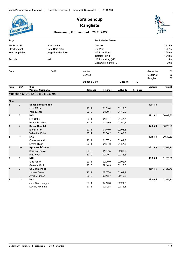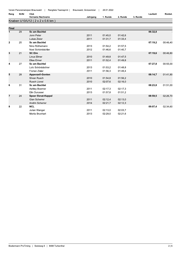|                |              | Verein Panoramaloipen Braunwald<br>Rangliste Teamsprint | Braunwald, Grotzenbüel | 29.01.2022 |          |          |          |          |
|----------------|--------------|---------------------------------------------------------|------------------------|------------|----------|----------|----------|----------|
| Rang           | <b>StrNr</b> | Club                                                    |                        |            |          |          | Laufzeit | Rückst.  |
|                |              | Vorname Nachname                                        | Jahrgang               | 1. Runde   | 2. Runde | 3. Runde |          |          |
|                |              | Knaben U10/U12 (2 x 2 x 0.6 km)                         |                        |            |          |          |          |          |
| <b>Final</b>   |              |                                                         |                        |            |          |          |          |          |
| $\mathbf 1$    | 29           | <b>Sc am Bachtel</b>                                    |                        |            |          |          | 06:32,8  |          |
|                |              | Jonn Peter                                              | 2011                   | 01:45,0    | 01:42,6  |          |          |          |
|                |              | Lukas Zisler                                            | 2011                   | 01:31,7    | 01:33,4  |          |          |          |
| $\overline{2}$ | 25           | <b>Sc am Bachtel</b>                                    |                        |            |          |          | 07:19,2  | 00:46,40 |
|                |              | Nino Rüthemann                                          | 2013                   | 01:54,2    | 01:57,5  |          |          |          |
|                |              | Noel Schönbächler                                       | 2012                   | 01:46,6    | 01:40,7  |          |          |          |
| 3              | 21           | <b>SC Elm</b>                                           |                        |            |          |          | 07:19.6  | 00:46,80 |
|                |              | Linus Elmer                                             | 2010                   | 01:49.8    | 01:47,5  |          |          |          |
|                |              | Elias Elmer                                             | 2011                   | 01:52,4    | 01:49,8  |          |          |          |
| 4              | 27           | <b>Sc am Bachtel</b>                                    |                        |            |          |          | 07:27,8  | 00:55,00 |
|                |              | Loïc Schönbächler                                       | 2013                   | 01:53,2    | 01:48.8  |          |          |          |
|                |              | <b>Florian Zisler</b>                                   | 2011                   | 01:56.3    | 01:49,4  |          |          |          |
| 5              | 28           | <b>Appenzell-Gonten</b>                                 |                        |            |          |          | 08:14,7  | 01:41,90 |
|                |              | Silvan Rusch                                            | 2010                   | 01:54,8    | 01:56,2  |          |          |          |
|                |              | <b>Rusch Lionel</b>                                     | 2010                   | 02:07,6    | 02:16,0  |          |          |          |
| 6              | 31           | Sc am Bachtel                                           |                        |            |          |          | 08:23,8  | 01:51,00 |
|                |              | Ashley Boerner                                          | 2011                   | 02:17.3    | 02:17.3  |          |          |          |
|                |              | Elin Durussel                                           | 2013                   | 01:57,8    | 01:51,2  |          |          |          |
| 7              | 24           | <b>Speer Ebnat-Kappel</b>                               |                        |            |          |          | 08:59.5  | 02:26,70 |
|                |              | <b>Gian Scherrer</b>                                    | 2011                   | 02:12,4    | 02:13,0  |          |          |          |
|                |              | Andrin Scherrer                                         | 2014                   | 02:21,7    | 02:12,3  |          |          |          |
| 8              | 22           | <b>NCL</b>                                              |                        |            |          |          | 09:07,4  | 02:34.60 |

2013

02:13,0

02:29,0

02:03,7

02:21,6

Julian Wanger

Moritz Brunhart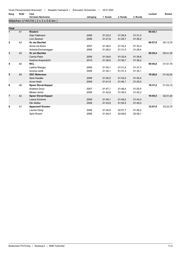| <b>StrNr</b> | Club |
|--------------|------|
|              |      |

| Rang           | <b>StrNr</b> | Club                             |          |          |          |          | Laufzeit | Rückst.  |
|----------------|--------------|----------------------------------|----------|----------|----------|----------|----------|----------|
|                |              | <b>Vorname Nachname</b>          | Jahrgang | 1. Runde | 2. Runde | 3. Runde |          |          |
|                |              | Mädchen U14/U16 (2 x 3 x 0.6 km) |          |          |          |          |          |          |
|                |              |                                  |          |          |          |          |          |          |
| Final          |              |                                  |          |          |          |          |          |          |
| $\mathbf{1}$   | 41           | <b>Riedern</b>                   |          |          |          |          | 08:44.1  |          |
|                |              | Silja Feldmann                   | 2006     | 01:23,3  | 01:29,9  | 01:31,0  |          |          |
|                |              | Linn Zentner                     | 2006     | 01:21,8  | 01:29,7  | 01:28,2  |          |          |
| $\mathbf{2}$   | 43           | <b>Sc am Bachtel</b>             |          |          |          |          | 08:57,8  | 00:13,70 |
|                |              | Anna Lia Keller                  | 2007     | 01:26.5  | 01:32,2  | 01:33.3  |          |          |
|                |              | Antonia Emmenegger               | 2009     | 01:26,2  | 01:31,0  | 01:28,4  |          |          |
| 3              | 45           | Sc am Bachtel                    |          |          |          |          | 09:25,4  | 00:41,30 |
|                |              | Carina Peter                     | 2009     | 01:34.6  | 01:33,9  | 01:34,8  |          |          |
|                |              | Noémie Krayenbühl                | 2010     | 01:28,9  | 01:36,7  | 01:36,2  |          |          |
| 4              | 44           | <b>NCL</b>                       |          |          |          |          | 09:45,8  | 01:01,70 |
|                |              | Ladina Wanger                    | 2009     | 01:34,1  | 01:51,6  | 01:37,3  |          |          |
|                |              | Annina Uehli                     | 2009     | 01:30.1  | 01:37,3  | 01:35,1  |          |          |
| 5              | 49           | <b>SSC Walensee</b>              |          |          |          |          | 10:26,6  | 01:42,50 |
|                |              | Sara Hassler                     | 2008     | 01:45.0  | 01:43.0  | 01:45.4  |          |          |
|                |              | Anna Heeb                        | 2009     | 01:41,9  | 01:46,1  | 01:45,0  |          |          |
| 6              | 46           | <b>Speer Ebnat-Kappel</b>        |          |          |          |          | 10:37,2  | 01:53,10 |
|                |              | Andrina Gmür                     | 2007     | 01:47.1  | 01:48.4  | 01:50.5  |          |          |
|                |              | Miriam Gmür                      | 2009     | 01:42,6  | 01:46,0  | 01:42,3  |          |          |
| $\overline{7}$ | 42           | <b>Speer Ebnat-Kappel</b>        |          |          |          |          | 10:45,5  | 02:01,40 |
|                |              | Leana Scherrer                   | 2009     | 01:49.1  | 01:48,2  | 01:44,3  |          |          |
|                |              | Elin Müller                      | 2009     | 01:43.9  | 01:50,5  | 01.49,3  |          |          |
| 8              | 47           | <b>Appenzell-Gonten</b>          |          |          |          |          | 12:07.8  | 03:23,70 |
|                |              | Leonie Dörig                     | 2006     | 01:50.9  | 02:07,7  | 01:59,2  |          |          |
|                |              | Aylin Rusch                      | 2006     | 01:54,9  | 02:08,6  | 02:06,1  |          |          |
|                |              |                                  |          |          |          |          |          |          |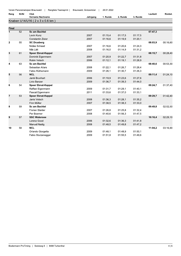| Rang         | <b>StrNr</b> | Club                            |          |          |          |          | Laufzeit | Rückst.  |
|--------------|--------------|---------------------------------|----------|----------|----------|----------|----------|----------|
|              |              | <b>Vorname Nachname</b>         | Jahrgang | 1. Runde | 2. Runde | 3. Runde |          |          |
|              |              | Knaben U14/U16 (2 x 3 x 0.6 km) |          |          |          |          |          |          |
| Final        |              |                                 |          |          |          |          |          |          |
|              | 52           | Sc am Bachtel                   |          |          |          |          | 07:47.3  |          |
|              |              | Levin Kunz                      | 2007     | 01:15,4  | 01:17,5  | 01:17,5  |          |          |
|              |              | <b>Constantin Zisler</b>        | 2007     | 01:16,6  | 01:19,9  | 01:20,1  |          |          |
| $\mathbf{2}$ | 55           | <b>SC Drusberg</b>              |          |          |          |          | 08:03,9  | 00:16.60 |
|              |              | Niclas Schaad                   | 2007     | 01:16.6  | 01:20.6  | 01:24,3  |          |          |
|              |              | Nils Lätt                       | 2008     | 01:16,0  | 01:14,9  | 01:31,2  |          |          |
| 3            | 61           | <b>Speer Ebnat-Kappel</b>       |          |          |          |          | 08:15,7  | 00:28,40 |
|              |              | Dominik Eigenmann               | 2007     | 01:20,9  | 01:22.7  | 01:31,8  |          |          |
|              |              | Robin Vetsch                    | 2006     | 01:12,1  | 01:19,1  | 01:28,9  |          |          |
| 4            | 63           | <b>Sc am Bachtel</b>            |          |          |          |          | 08:40.6  | 00:53,30 |
|              |              | Sebastian Allars                | 2008     | 01:22,1  | 01:26,7  | 01:28,4  |          |          |
|              |              | Fabio Rüthemann                 | 2009     | 01:26,1  | 01:30,7  | 01:26,3  |          |          |
| 5            | 56           | <b>NCL</b>                      |          |          |          |          | 09:11,4  | 01:24,10 |
|              |              | Janik Brunhart                  | 2006     | 01:19,9  | 01:23,6  | 01:27,6  |          |          |
|              |              | Livio Banzer                    | 2009     | 01:36,7  | 01:39,3  | 01:44,0  |          |          |
| 6            | 54           | <b>Speer Ebnat-Kappel</b>       |          |          |          |          | 09:24,7  | 01:37,40 |
|              |              | Raffael Eigenmann               | 2009     | 01:31.7  | 01:29,1  | 01.40,1  |          |          |
|              |              | Pascal Eigenmann                | 2011     | 01:33,6  | 01:37,0  | 01:33,1  |          |          |
| 7            | 53           | <b>Speer Ebnat-Kappel</b>       |          |          |          |          | 09:29,7  | 01:42,40 |
|              |              | Janis Vetsch                    | 2008     | 01:36.3  | 01:28,1  | 01:35,2  |          |          |
|              |              | Finn Müller                     | 2007     | 01:38.5  | 01:38.3  | 01:33.0  |          |          |
| 8            | 59           | Sc am Bachtel                   |          |          |          |          | 09:49,8  | 02:02,50 |
|              |              | <b>Florian Stalder</b>          | 2007     | 01:26,8  | 01:25.8  | 01:32.4  |          |          |
|              |              | Per Boerner                     | 2008     | 01:40,6  | 01:56,3  | 01:47,5  |          |          |
| 9            | 57           | <b>SSC Walensee</b>             |          |          |          |          | 10:16.4  | 02:29.10 |

2008

2009

2009

01:32,6

01:48,5

01:48,1

 $01:51,8$ 

01:36,3

01:49,8

01:48,9

01:55,5

01:41,8

01:47,2

 $01.50, 1$ 

01:49,6

 $11:04,2$ 

03:16,90

Lorenz Good

**Manuel Nadig** 

Orlando Giorgetta

Fabio Sturzenegger

 $NCL$ 

 $10$ 

58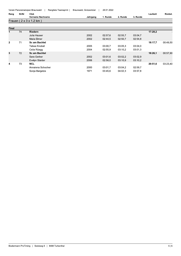| Rang           | <b>StrNr</b> | Club<br>Laufzeit        |  |          |          |          |          |         | Rückst.  |
|----------------|--------------|-------------------------|--|----------|----------|----------|----------|---------|----------|
|                |              | Vorname Nachname        |  | Jahrgang | 1. Runde | 2. Runde | 3. Runde |         |          |
|                |              | Frauen (2 x 3 x 1.2 km) |  |          |          |          |          |         |          |
|                |              |                         |  |          |          |          |          |         |          |
| Final          |              |                         |  |          |          |          |          |         |          |
| 1              | 74           | <b>Riedern</b>          |  |          |          |          |          | 17:28,2 |          |
|                |              | Julia Hauser            |  | 2002     | 02:57,6  | 02:55,7  | 03:04,7  |         |          |
|                |              | Malia Elmer             |  | 2002     | 02:44,5  | 02:50,7  | 02:54,8  |         |          |
| $\overline{2}$ | 71           | <b>Sc am Bachtel</b>    |  |          |          |          |          | 18:17,7 | 00:49,50 |
|                |              | Tabea Knobel            |  | 2005     | 03:00.7  | 03:05.3  | 03:04.0  |         |          |
|                |              | Celia Rüegg             |  | 2004     | 02:55.9  | 03:10.2  | 03:01,3  |         |          |
| 3              | 72           | <b>Sc am Bachtel</b>    |  |          |          |          |          | 18:26.1 | 00:57,90 |
|                |              | Sara Gerber             |  | 2002     | 03:01.6  | 03:02,2  | 03.02,9  |         |          |
|                |              | Evelyn Stalder          |  | 2006     | 02:58.0  | 03:10.9  | 03:10,2  |         |          |
| 4              | 73           | <b>NCL</b>              |  |          |          |          |          | 20:51,6 | 03:23,40 |
|                |              | Annalena Schocher       |  | 2000     | 03:01,7  | 03:04,2  | 02:59,7  |         |          |
|                |              | Sonja Bargetze          |  | 1971     | 03:45.6  | 04:02,3  | 03:57,8  |         |          |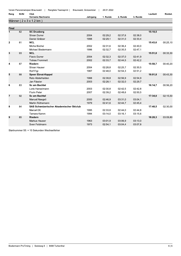| Rang | StrNr | Club |
|------|-------|------|
|      |       |      |

| Rang           | <b>StrNr</b> | Club                                            |          |          |          |          | Laufzeit | Rückst.  |
|----------------|--------------|-------------------------------------------------|----------|----------|----------|----------|----------|----------|
|                |              | <b>Vorname Nachname</b>                         | Jahrgang | 1. Runde | 2. Runde | 3. Runde |          |          |
|                |              | Männer $(2 \times 3 \times 1.2 \text{ km})$     |          |          |          |          |          |          |
|                |              |                                                 |          |          |          |          |          |          |
| <b>Final</b>   |              |                                                 |          |          |          |          |          |          |
| $\overline{1}$ | 82           | <b>SC Drusberg</b>                              |          |          |          |          | 15:18,5  |          |
|                |              | Silvan Durrer                                   | 2004     | 02:29,2  | 02:37,6  | 02:38,0  |          |          |
|                |              | Daniel Grätzer                                  | 1998     | 02:29,1  | 02:31,0  | 02:33,4  |          |          |
| $\mathbf{2}$   | 81           | <b>NCL</b>                                      |          |          |          |          | 15:43,6  | 00:25,10 |
|                |              | Micha Büchel                                    | 2002     | 02:31,6  | 02:36,4  | 02:40,0  |          |          |
|                |              | Michael Biedermann                              | 1996     | 02:32,7  | 02:35,5  | 02:47,1  |          |          |
| 3              | 93           | <b>NCL</b>                                      |          |          |          |          | 15:51,8  | 00:33,30 |
|                |              | <b>Flavio Durrer</b>                            | 2004     | 02:32.3  | 02:37,0  | 02:41,9  |          |          |
|                |              | <b>Tobias Frommelt</b>                          | 2002     | 02:33.7  | 02:44.5  | 02:42.2  |          |          |
| 4              | 87           | <b>Riedern</b>                                  |          |          |          |          | 15:58,7  | 00:40,20 |
|                |              | Silvan Hauser                                   | 2004     | 02:28,8  | 02:25,7  | 02:30,5  |          |          |
|                |              | <b>Rolf Figi</b>                                | 1987     | 02:48.0  | 02:54,3  | 02:51,2  |          |          |
| 5              | 88           | <b>Speer Ebnat-Kappel</b>                       |          |          |          |          | 16:01,8  | 00:43.30 |
|                |              | Reto Abderhalden                                | 1988     | 02:39,8  | 02:56,9  | 02:54,9  |          |          |
|                |              | Jan Fässler                                     | 2003     | 02:28,1  | 02:32,0  | 02:29,7  |          |          |
| 6              | 83           | <b>Sc am Bachtel</b>                            |          |          |          |          | 16:14,7  | 00:56,20 |
|                |              | Loris Hanselmann                                | 2003     | 02:30.8  | 02:42.5  | 02:42.8  |          |          |
|                |              | <b>Flurin Peter</b>                             | 2007     | 02:39,2  | 02:48,6  | 02:50,5  |          |          |
| $\overline{7}$ | 92           | Sc am Bachtel                                   |          |          |          |          | 17:34,0  | 02:15,50 |
|                |              | Manuel Naegeli                                  | 2000     | 02:46.9  | 03:31,0  | 03:04.1  |          |          |
|                |              | Martin Rüthemann                                | 1979     | 02:41.6  | 02:44.7  | 02 45.4  |          |          |
| 8              | 84           | <b>SAS Schweizerischer Akademischer Skiclub</b> |          |          |          |          | 17:48,5  | 02:30,00 |
|                |              | Marcel Ott                                      | 1995     | 02:33.8  | 02:44,0  | 02:44,8  |          |          |
|                |              | Tamara Kamm                                     | 1994     | 03:14,0  | 03:16,1  | 03:15,6  |          |          |
| 9              | 85           | <b>Riedern</b>                                  |          |          |          |          | 18:28,3  | 03:09.80 |
|                |              | Markus Hauser                                   | 1963     | 03:01,9  | 03:06,9  | 03:13,0  |          |          |
|                |              | Sven Feldmann                                   | 1973     | 02:54.1  | 03:04.4  | 03:07.8  |          |          |

Startnummer 55: + 10 Sekunden Wechselfehler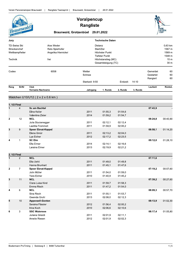|              | Braunwald                                                                                                                         | <b>Braunwald, Grotzenbüel</b>                            | Voralpencup<br><b>Rangliste</b>                                                                        | 29.01.2022                                                       |                    |          |                                   |                |
|--------------|-----------------------------------------------------------------------------------------------------------------------------------|----------------------------------------------------------|--------------------------------------------------------------------------------------------------------|------------------------------------------------------------------|--------------------|----------|-----------------------------------|----------------|
| Jury         |                                                                                                                                   |                                                          |                                                                                                        | <b>Technische Daten</b>                                          |                    |          |                                   |                |
|              | Alex Weder<br><b>TD-Swiss Ski</b><br>Streckenchef<br>Reto Spielhofer<br>Angelika Hiernickel<br>Wettkampfleiter<br>Technik<br>frei |                                                          | Distanz<br>Start/Ziel<br>Höchster Punkt<br>Tiefster Punkt<br>Höchstanstieg (MC)<br>Gesamtsteigung (TC) | 0.63 km<br>1567 m<br>1569 m<br>1548 m<br>15 <sub>m</sub><br>30 m |                    |          |                                   |                |
| Codex        |                                                                                                                                   | 6058                                                     | Wetter<br>Schnee<br>Startzeit: 9:50                                                                    |                                                                  | Endzeit:           | 14:10    | Gemeldet<br>Gestartet<br>Rangiert | 60<br>60<br>60 |
| Rang         | <b>StrNr</b>                                                                                                                      | Club                                                     |                                                                                                        |                                                                  |                    |          | Laufzeit                          | Rückst.        |
|              |                                                                                                                                   | Vorname Nachname<br>Mädchen U10/U12 (2 x 2 x 0.6 km)     | Jahrgang                                                                                               | 1. Runde                                                         | 2. Runde           | 3. Runde |                                   |                |
| 1. 1/2 Final |                                                                                                                                   |                                                          |                                                                                                        |                                                                  |                    |          |                                   |                |
| $\mathbf{1}$ | $\overline{4}$                                                                                                                    | Sc am Bachtel<br>Elina Keller<br>Valentina Zisler        | 2011<br>2014                                                                                           | 01:55,3<br>01:59,2                                               | 01:54,6<br>01:54,7 |          | 07:43,9                           |                |
| $\mathbf{2}$ | 12                                                                                                                                | <b>NCL</b><br>Julia Sturzenegger<br>Laetitia Frommelt    | 2011<br>2011                                                                                           | 02:12,1<br>01:59,9                                               | 02:12,4<br>02:00,2 |          | 08:24,8                           | 00:40,90       |
| 3            | 9                                                                                                                                 | <b>Speer Ebnat-Kappel</b><br>Elena Gmür<br>Lya Eicher    | 2011<br>2012                                                                                           | 02:13,2<br>02:17,2                                               | 02:04,0<br>02:23,5 |          | 08:58,1                           | 01:14,20       |
| 4            | 1                                                                                                                                 | <b>SC Elm</b><br>Ella Elmer<br>Laraina Elmer             | 2014<br>2013                                                                                           | 02:14,1<br>02:19,9                                               | 02:16.6<br>02:21,2 |          | 09:12,0                           | 01:28,10       |
| 2. 1/2 Final |                                                                                                                                   |                                                          |                                                                                                        |                                                                  |                    |          |                                   |                |
| 1            | $\overline{2}$                                                                                                                    | <b>NCL</b><br>Ella Uehli<br>Hanna Brunhart               | 2011<br>2011                                                                                           | 01:49,0<br>01:45,1                                               | 01:49,8<br>01:47,6 |          | 07:11,6                           |                |
| $\mathbf{2}$ | $\mathbf{7}$                                                                                                                      | <b>Speer Ebnat-Kappel</b><br>Jolin Müller<br>Yara Eicher | 2011<br>2010                                                                                           | 01:54,0<br>01:40,9                                               | 01:59,0<br>01:45,2 |          | 07:19,2                           | 00:07,60       |
| 3            | 11                                                                                                                                | <b>NCL</b><br>Clara-Luisa Kind<br>Emma Risch             | 2011<br>2011                                                                                           | 01:59,7<br>01:47,2                                               | 01:58,3<br>01:54,0 |          | 07:39,2                           | 00:27,60       |
| 4            | 6                                                                                                                                 | <b>NCL</b><br>Sina Risch<br>Gwenda Gruhl                 | 2011<br>2013                                                                                           | 01:55,1<br>02:08,0                                               | 01:53,7<br>02:12,3 |          | 08:09,3                           | 00:57,70       |
| 5            | $10$                                                                                                                              | Appenzell-Gonten<br>Seraina Fässler<br>Irina Koch        | 2012<br>2010                                                                                           | 01:56,4<br>02:06,6                                               | 02:00,2<br>02:10,6 |          | 08:13,9                           | 01:02,30       |
| 6            | 3                                                                                                                                 | <b>SSC Walensee</b><br>Juliana Girardi<br>Amelie Riesen  | 2011<br>2012                                                                                           | 02:01,9<br>02:01,9                                               | 02:11,1<br>02:02,3 |          | 08:17,4                           | 01:05,80       |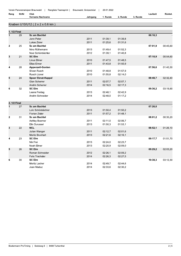| Rang | <b>StrNr</b> | Club<br>- - - - - - |          |       |                |                | -aufzeit | Rückst. |
|------|--------------|---------------------|----------|-------|----------------|----------------|----------|---------|
|      |              | Vorname Nachname    | Jahrgano | Runde | <b>ຳ Runde</b> | <b>ຳ Runde</b> |          |         |

## Knaben U10/U12 (2 x 2 x 0.6 km)

| 1. 1/2 Final   |    |                           |      |         |         |         |          |
|----------------|----|---------------------------|------|---------|---------|---------|----------|
| $\mathbf{1}$   | 29 | Sc am Bachtel             |      |         |         | 06:16,3 |          |
|                |    | Jonn Peter                | 2011 | 01:39,1 | 01:39,8 |         |          |
|                |    | Lukas Zisler              | 2011 | 01:25,6 | 01:31,6 |         |          |
| $\mathbf{2}$   | 25 | <b>Sc am Bachtel</b>      |      |         |         | 07:01,9 | 00:45,60 |
|                |    | Nino Rüthemann            | 2013 | 01:49,4 | 01:52,3 |         |          |
|                |    | Noel Schönbächler         | 2012 | 01:39,1 | 01:40,8 |         |          |
| 3              | 21 | <b>SC Elm</b>             |      |         |         | 07:10,9 | 00:54,60 |
|                |    | Linus Elmer               | 2010 | 01:47,5 | 01:48,5 |         |          |
|                |    | Elias Elmer               | 2011 | 01:43,8 | 01:50,9 |         |          |
| 4              | 28 | Appenzell-Gonten          |      |         |         | 07:56,6 | 01:40,30 |
|                |    | Silvan Rusch              | 2010 | 01:48,8 | 01:57,9 |         |          |
|                |    | <b>Rusch Lionel</b>       | 2010 | 01:55,8 | 02:14,0 |         |          |
| 5              | 24 | <b>Speer Ebnat-Kappel</b> |      |         |         | 08:48,7 | 02:32,40 |
|                |    | Gian Scherrer             | 2011 | 02:07,7 | 02:07,1 |         |          |
|                |    | Andrin Scherrer           | 2014 | 02:16,5 | 02:17,3 |         |          |
| 6              | 32 | <b>SC Elm</b>             |      |         |         | 09:36,2 | 03:19,90 |
|                |    | Leana Freitag             | 2013 | 02:48,1 | 02:42,9 |         |          |
|                |    | Andrin Schneider          | 2014 | 02:48,0 | 01:17,2 |         |          |
|                |    |                           |      |         |         |         |          |
| 2. 1/2 Final   |    |                           |      |         |         |         |          |
| $\overline{1}$ | 27 | <b>Sc am Bachtel</b>      |      |         |         | 07:26,0 |          |
|                |    | Loïc Schönbächler         | 2013 | 01:50,4 | 01:50,2 |         |          |
|                |    | <b>Florian Zisler</b>     | 2011 | 01:57,2 | 01:48,1 |         |          |
| $\mathbf{2}$   | 31 | Sc am Bachtel             |      |         |         | 08:01,2 | 00:35,20 |
|                |    | Ashley Boerner            | 2011 | 02:11,0 | 02:06,7 |         |          |
|                |    | Elin Durussel             | 2013 | 01:50,3 | 01:53,1 |         |          |
| 3              | 22 | <b>NCL</b>                |      |         |         | 08:52,1 | 01:26,10 |
|                |    | Julian Wanger             | 2011 | 02:12,7 | 02:01,6 |         |          |
|                |    | Moritz Brunhart           | 2013 | 02:21,6 | 02:16,1 |         |          |
| 4              | 23 | <b>SC Elm</b>             |      |         |         | 09:17,7 | 01:51,70 |
|                |    | Nik Frei                  | 2013 | 02:24,0 | 02:23,7 |         |          |
|                |    | Noah Elmer                | 2013 | 02:20,9 | 02:09,0 |         |          |
| 5              | 26 | <b>SC Elm</b>             |      |         |         | 09:29,2 | 02:03,20 |
|                |    | Roman Schneider           | 2012 | 02:26,1 | 02:09,2 |         |          |
|                |    | Felix Trachsler           | 2014 | 02:26,3 | 02:27,5 |         |          |
| 6              | 30 | <b>SC Elm</b>             |      |         |         | 10:38,3 | 03:12,30 |
|                |    | Moritz Lacher             | 2014 | 02:49,7 | 02:44,6 |         |          |
|                |    | Joan Maduz                | 2014 | 02:33,6 | 02:30,2 |         |          |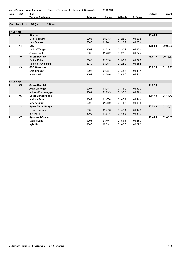| Rang           | StrNr | Club                             |          |          |          |          | Laufzeit | Rückst.  |
|----------------|-------|----------------------------------|----------|----------|----------|----------|----------|----------|
|                |       | <b>Vorname Nachname</b>          | Jahrgang | 1. Runde | 2. Runde | 3. Runde |          |          |
|                |       | Mädchen U14/U16 (2 x 3 x 0.6 km) |          |          |          |          |          |          |
|                |       |                                  |          |          |          |          |          |          |
| 1. 1/2 Final   |       |                                  |          |          |          |          |          |          |
| $\mathbf{1}$   | 41    | <b>Riedern</b>                   |          |          |          |          | 08:44.8  |          |
|                |       | Silja Feldmann                   | 2006     | 01:23,3  | 01:28,9  | 01:28,8  |          |          |
|                |       | Linn Zentner                     | 2006     | 01:26.2  | 01:28,9  | 01.28,4  |          |          |
| $\mathbf{2}$   | 44    | <b>NCL</b>                       |          |          |          |          | 08:54,4  | 00:09.60 |
|                |       | Ladina Wanger                    | 2009     | 01:32,4  | 01:30,2  | 01:30,4  |          |          |
|                |       | Annina Uehli                     | 2009     | 01:26,2  | 01:27,3  | 01:27,7  |          |          |
| 3              | 45    | <b>Sc am Bachtel</b>             |          |          |          |          | 08:57,0  | 00:12,20 |
|                |       | Carina Peter                     | 2009     | 01:32,0  | 01:30,7  | 01:32,0  |          |          |
|                |       | Noémie Krayenbühl                | 2010     | 01:25,4  | 01:28,2  | 01:28,5  |          |          |
| 4              | 49    | <b>SSC Walensee</b>              |          |          |          |          | 10:02,5  | 01:17,70 |
|                |       | Sara Hassler                     | 2008     | 01:38.7  | 01:38,8  | 01:41,4  |          |          |
|                |       | Anna Heeb                        | 2009     | 01:38.6  | 01:43.6  | 01:41.2  |          |          |
| 2. 1/2 Final   |       |                                  |          |          |          |          |          |          |
| $\mathbf{1}$   | 43    | <b>Sc am Bachtel</b>             |          |          |          |          | 09:02.6  |          |
|                |       | Anna Lia Keller                  | 2007     | 01:28,7  | 01:31,2  | 01:30,7  |          |          |
|                |       | Antonia Emmenegger               | 2009     | 01:29.3  | 01:30,0  | 01:32,4  |          |          |
| $\overline{2}$ | 46    | <b>Speer Ebnat-Kappel</b>        |          |          |          |          | 10:17,3  | 01:14.70 |
|                |       | Andrina Gmur                     | 2007     | 01:47.4  | 01:45.1  | 01:44.4  |          |          |
|                |       | Miriam Gmür                      | 2009     | 01:38,9  | 01:41,7  | 01:39,5  |          |          |
| 3              | 42    | <b>Speer Ebnat-Kappel</b>        |          |          |          |          | 10:22,6  | 01:20,00 |
|                |       | Leana Scherrer                   | 2009     | 01:47.6  | 01:47.1  | 01:42,8  |          |          |
|                |       | Elin Müller                      | 2009     | 01:37,4  | 01:43,5  | 01:44,0  |          |          |
| 4              | 47    | <b>Appenzell-Gonten</b>          |          |          |          |          | 11:43,5  | 02:40,90 |
|                |       | Leonie Dörig                     | 2006     | 01:49,1  | 01:52,3  | 01:56,7  |          |          |

02:03,1

02:00,0

02:02,0

Aylin Rusch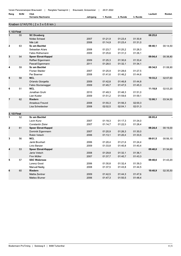| Rang | StrNr | Club             |          |         |          |         | _autzeit | - - -<br>Rückst. |
|------|-------|------------------|----------|---------|----------|---------|----------|------------------|
|      |       | Vorname Nachname | Jahrqanq | . Runde | 2. Runde | ੇ Runde |          |                  |

## Knaben U14/U16 (2 x 3 x 0.6 km)

| 1. 1/2 Final   |    |                           |      |         |         |         |         |          |
|----------------|----|---------------------------|------|---------|---------|---------|---------|----------|
| $\mathbf{1}$   | 55 | <b>SC Drusberg</b>        |      |         |         |         | 08:25,6 |          |
|                |    | Niclas Schaad             | 2007 | 01:21,9 | 01:23,4 | 01:30,8 |         |          |
|                |    | Nils Lätt                 | 2008 | 01:14.9 | 01:23,4 | 01:31,0 |         |          |
| $\mathbf{2}$   | 63 | Sc am Bachtel             |      |         |         |         | 08:40.1 | 00:14,50 |
|                |    | Sebastian Allars          | 2008 | 01:23,7 | 01:25,2 | 01:28,3 |         |          |
|                |    | Fabio Rüthemann           | 2009 | 01:25,6 | 01:31,0 | 01:26,1 |         |          |
| 3              | 54 | <b>Speer Ebnat-Kappel</b> |      |         |         |         | 09:04,4 | 00:38,80 |
|                |    | Raffael Eigenmann         | 2009 | 01:25,3 | 01:30,6 | 01:33,4 |         |          |
|                |    | Pascal Eigenmann          | 2011 | 01:28,5 | 01:32,1 | 01:34,1 |         |          |
| 4              | 59 | Sc am Bachtel             |      |         |         |         | 09:34,5 | 01:08,90 |
|                |    | <b>Florian Stalder</b>    | 2007 | 01:25.9 | 01:28,6 | 01:27,5 |         |          |
|                |    | Per Boerner               | 2008 | 01:41,6 | 01:46,2 | 01:44,6 |         |          |
| 5              | 58 | <b>NCL</b>                |      |         |         |         | 10:33,2 | 02:07,60 |
|                |    | Orlando Giorgetta         | 2009 | 01:42,8 | 01:46,8 | 01:44,8 |         |          |
|                |    | Fabio Sturzenegger        | 2009 | 01:45,7 | 01:47,5 | 01:45,3 |         |          |
| 6              | 51 | <b>NCL</b>                |      |         |         |         | 11:18,8 | 02:53,20 |
|                |    | Jonathan Gruhl            | 2010 | 01:49,3 | 01:48,3 | 01:51,0 |         |          |
|                |    | Lian Kuster               | 2009 | 01:51,2 | 01:59,6 | 01:59,1 |         |          |
| $\overline{7}$ | 62 | <b>Riedern</b>            |      |         |         |         | 12:00,1 | 03:34,50 |
|                |    | Amadeus Freund            | 2008 | 01:55,3 | 01:56,3 | 02:00,3 |         |          |
|                |    | Lisa Scheidecker          | 2008 | 02:02,5 | 02:04,1 | 02:01,3 |         |          |
|                |    |                           |      |         |         |         |         |          |
| 2. 1/2 Final   |    |                           |      |         |         |         |         |          |
| $\mathbf{1}$   | 52 | Sc am Bachtel             |      |         |         |         | 08:05,4 |          |
|                |    | Levin Kunz                | 2007 | 01:18,3 | 01:17,3 | 01:24,0 |         |          |
|                |    | Constantin Zisler         | 2007 | 01:14,7 | 01:22,5 | 01:28,4 |         |          |
| $\mathbf{2}$   | 61 | <b>Speer Ebnat-Kappel</b> |      |         |         |         | 08:24,4 | 00:19,00 |
|                |    | Dominik Eigenmann         | 2007 | 01:20,9 | 01:26,3 | 01:30,0 |         |          |
|                |    | Robin Vetsch              | 2006 | 01:13,1 | 01:20,4 | 01:33,5 |         |          |
| 3              | 56 | <b>NCL</b>                |      |         |         |         | 09:01,5 | 00:56,10 |
|                |    | Janik Brunhart            | 2006 | 01:20,4 | 01:21,6 | 01:24,4 |         |          |
|                |    | Livio Banzer              | 2009 | 01:33,8 | 01:40,8 | 01:40,4 |         |          |
| 4              | 53 | <b>Speer Ebnat-Kappel</b> |      |         |         |         | 09:40,0 | 01:34,60 |
|                |    | Janis Vetsch              | 2008 | 01:29,8 | 01:32,1 | 01:36,1 |         |          |
|                |    | Finn Müller               | 2007 | 01:37,7 | 01:40,7 | 01:43,3 |         |          |
| 5              | 57 | <b>SSC Walensee</b>       |      |         |         |         | 09:48,6 | 01:43,20 |
|                |    | Lorenz Good               | 2006 | 01:30,8 | 01:32,4 | 01:39,3 |         |          |
|                |    | <b>Manuel Nadig</b>       | 2008 | 01:37,5 | 01:43,8 | 01:44,5 |         |          |
| 6              | 60 | <b>Riedern</b>            |      |         |         |         | 10:40,9 | 02:35,50 |
|                |    | Mattia Zentner            | 2009 | 01:42,5 | 01:44,3 | 01:47,6 |         |          |
|                |    | Matteo Blumer             | 2006 | 01:47,3 | 01:50,5 | 01:48,4 |         |          |